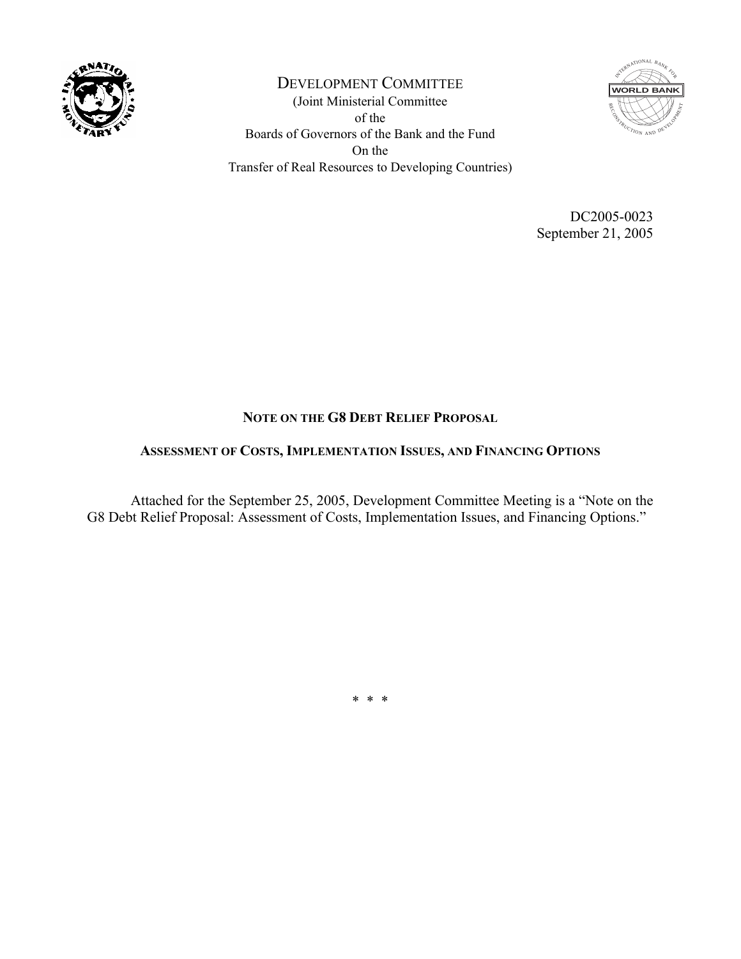

DEVELOPMENT COMMITTEE (Joint Ministerial Committee of the Boards of Governors of the Bank and the Fund On the Transfer of Real Resources to Developing Countries)



DC2005-0023 September 21, 2005

# **NOTE ON THE G8 DEBT RELIEF PROPOSAL**

### **ASSESSMENT OF COSTS, IMPLEMENTATION ISSUES, AND FINANCING OPTIONS**

 Attached for the September 25, 2005, Development Committee Meeting is a "Note on the G8 Debt Relief Proposal: Assessment of Costs, Implementation Issues, and Financing Options."

\* \* \*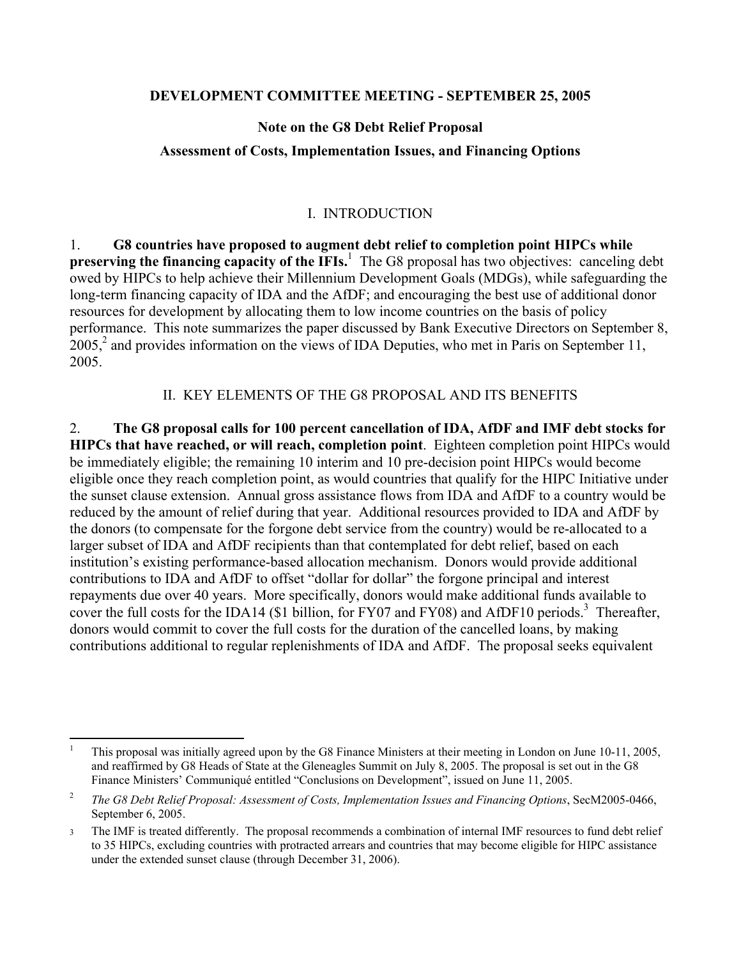#### **DEVELOPMENT COMMITTEE MEETING - SEPTEMBER 25, 2005**

### **Note on the G8 Debt Relief Proposal**

### **Assessment of Costs, Implementation Issues, and Financing Options**

### I. INTRODUCTION

1. **G8 countries have proposed to augment debt relief to completion point HIPCs while**  preserving the financing capacity of the IFIs.<sup>1</sup> The G8 proposal has two objectives: canceling debt owed by HIPCs to help achieve their Millennium Development Goals (MDGs), while safeguarding the long-term financing capacity of IDA and the AfDF; and encouraging the best use of additional donor resources for development by allocating them to low income countries on the basis of policy performance. This note summarizes the paper discussed by Bank Executive Directors on September 8,  $2005$ ,  $2$  and provides information on the views of IDA Deputies, who met in Paris on September 11, 2005.

#### II. KEY ELEMENTS OF THE G8 PROPOSAL AND ITS BENEFITS

2. **The G8 proposal calls for 100 percent cancellation of IDA, AfDF and IMF debt stocks for HIPCs that have reached, or will reach, completion point**. Eighteen completion point HIPCs would be immediately eligible; the remaining 10 interim and 10 pre-decision point HIPCs would become eligible once they reach completion point, as would countries that qualify for the HIPC Initiative under the sunset clause extension. Annual gross assistance flows from IDA and AfDF to a country would be reduced by the amount of relief during that year. Additional resources provided to IDA and AfDF by the donors (to compensate for the forgone debt service from the country) would be re-allocated to a larger subset of IDA and AfDF recipients than that contemplated for debt relief, based on each institution's existing performance-based allocation mechanism. Donors would provide additional contributions to IDA and AfDF to offset "dollar for dollar" the forgone principal and interest repayments due over 40 years. More specifically, donors would make additional funds available to cover the full costs for the IDA14 (\$1 billion, for FY07 and FY08) and AfDF10 periods.<sup>3</sup> Thereafter, donors would commit to cover the full costs for the duration of the cancelled loans, by making contributions additional to regular replenishments of IDA and AfDF. The proposal seeks equivalent

 $\overline{a}$ 1 This proposal was initially agreed upon by the G8 Finance Ministers at their meeting in London on June 10-11, 2005, and reaffirmed by G8 Heads of State at the Gleneagles Summit on July 8, 2005. The proposal is set out in the G8 Finance Ministers' Communiqué entitled "Conclusions on Development", issued on June 11, 2005.

<sup>2</sup> *The G8 Debt Relief Proposal: Assessment of Costs, Implementation Issues and Financing Options*, SecM2005-0466, September 6, 2005.

<sup>3</sup> The IMF is treated differently. The proposal recommends a combination of internal IMF resources to fund debt relief to 35 HIPCs, excluding countries with protracted arrears and countries that may become eligible for HIPC assistance under the extended sunset clause (through December 31, 2006).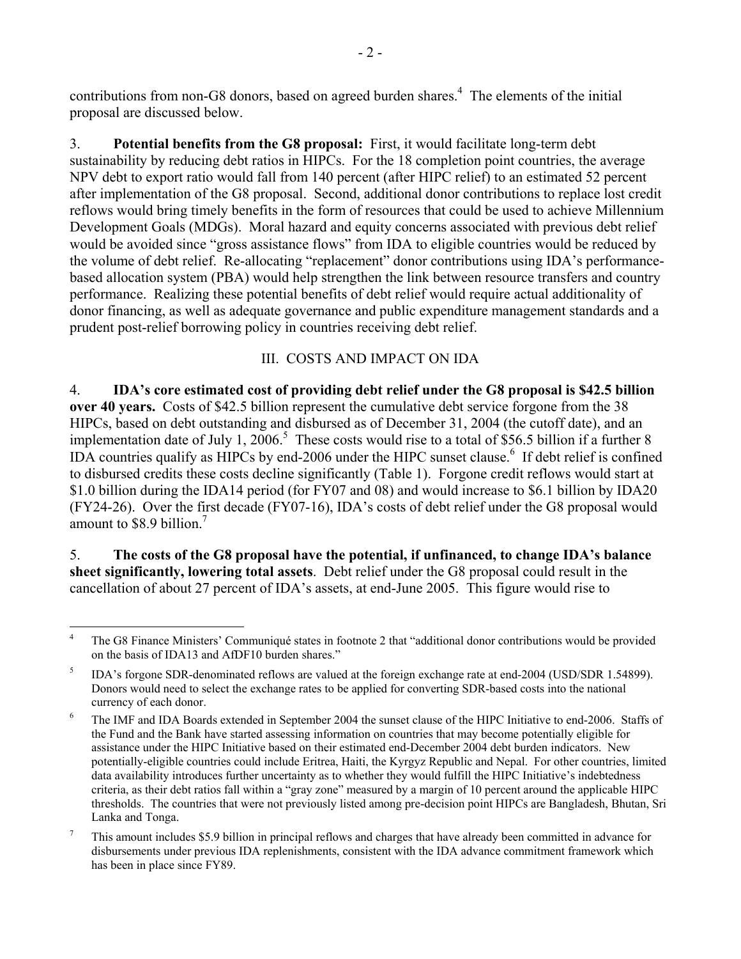contributions from non-G8 donors, based on agreed burden shares.<sup>4</sup> The elements of the initial proposal are discussed below.

3. **Potential benefits from the G8 proposal:** First, it would facilitate long-term debt sustainability by reducing debt ratios in HIPCs. For the 18 completion point countries, the average NPV debt to export ratio would fall from 140 percent (after HIPC relief) to an estimated 52 percent after implementation of the G8 proposal. Second, additional donor contributions to replace lost credit reflows would bring timely benefits in the form of resources that could be used to achieve Millennium Development Goals (MDGs). Moral hazard and equity concerns associated with previous debt relief would be avoided since "gross assistance flows" from IDA to eligible countries would be reduced by the volume of debt relief. Re-allocating "replacement" donor contributions using IDA's performancebased allocation system (PBA) would help strengthen the link between resource transfers and country performance.Realizing these potential benefits of debt relief would require actual additionality of donor financing, as well as adequate governance and public expenditure management standards and a prudent post-relief borrowing policy in countries receiving debt relief.

### III. COSTS AND IMPACT ON IDA

4. **IDA's core estimated cost of providing debt relief under the G8 proposal is \$42.5 billion over 40 years.** Costs of \$42.5 billion represent the cumulative debt service forgone from the 38 HIPCs, based on debt outstanding and disbursed as of December 31, 2004 (the cutoff date), and an implementation date of July 1, 2006.<sup>5</sup> These costs would rise to a total of \$56.5 billion if a further 8 IDA countries qualify as HIPCs by end-2006 under the HIPC sunset clause.<sup>6</sup> If debt relief is confined to disbursed credits these costs decline significantly (Table 1). Forgone credit reflows would start at \$1.0 billion during the IDA14 period (for FY07 and 08) and would increase to \$6.1 billion by IDA20 (FY24-26). Over the first decade (FY07-16), IDA's costs of debt relief under the G8 proposal would amount to \$8.9 billion.<sup>7</sup>

5. **The costs of the G8 proposal have the potential, if unfinanced, to change IDA's balance sheet significantly, lowering total assets**. Debt relief under the G8 proposal could result in the cancellation of about 27 percent of IDA's assets, at end-June 2005. This figure would rise to

 $\overline{4}$ 4 The G8 Finance Ministers' Communiqué states in footnote 2 that "additional donor contributions would be provided on the basis of IDA13 and AfDF10 burden shares."

<sup>5</sup> IDA's forgone SDR-denominated reflows are valued at the foreign exchange rate at end-2004 (USD/SDR 1.54899). Donors would need to select the exchange rates to be applied for converting SDR-based costs into the national currency of each donor.

<sup>6</sup> The IMF and IDA Boards extended in September 2004 the sunset clause of the HIPC Initiative to end-2006. Staffs of the Fund and the Bank have started assessing information on countries that may become potentially eligible for assistance under the HIPC Initiative based on their estimated end-December 2004 debt burden indicators. New potentially-eligible countries could include Eritrea, Haiti, the Kyrgyz Republic and Nepal. For other countries, limited data availability introduces further uncertainty as to whether they would fulfill the HIPC Initiative's indebtedness criteria, as their debt ratios fall within a "gray zone" measured by a margin of 10 percent around the applicable HIPC thresholds. The countries that were not previously listed among pre-decision point HIPCs are Bangladesh, Bhutan, Sri Lanka and Tonga.

<sup>7</sup> This amount includes \$5.9 billion in principal reflows and charges that have already been committed in advance for disbursements under previous IDA replenishments, consistent with the IDA advance commitment framework which has been in place since FY89.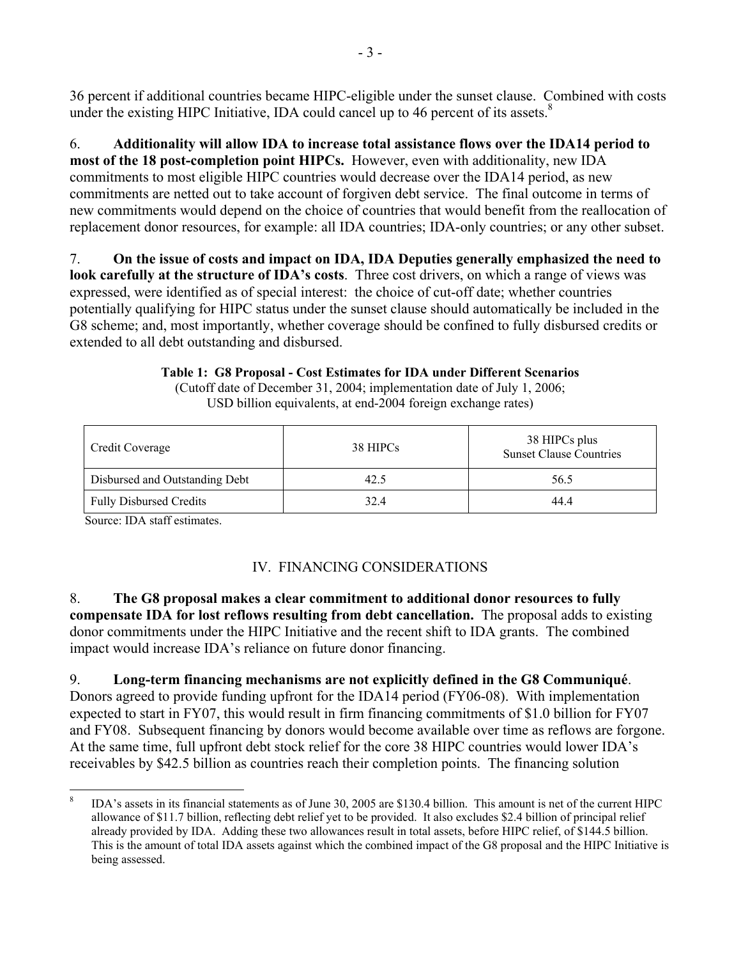36 percent if additional countries became HIPC-eligible under the sunset clause. Combined with costs under the existing HIPC Initiative, IDA could cancel up to 46 percent of its assets. $8$ 

6. **Additionality will allow IDA to increase total assistance flows over the IDA14 period to most of the 18 post-completion point HIPCs.** However, even with additionality, new IDA commitments to most eligible HIPC countries would decrease over the IDA14 period, as new commitments are netted out to take account of forgiven debt service. The final outcome in terms of new commitments would depend on the choice of countries that would benefit from the reallocation of replacement donor resources, for example: all IDA countries; IDA-only countries; or any other subset.

7. **On the issue of costs and impact on IDA, IDA Deputies generally emphasized the need to look carefully at the structure of IDA's costs**. Three cost drivers, on which a range of views was expressed, were identified as of special interest: the choice of cut-off date; whether countries potentially qualifying for HIPC status under the sunset clause should automatically be included in the G8 scheme; and, most importantly, whether coverage should be confined to fully disbursed credits or extended to all debt outstanding and disbursed.

> **Table 1: G8 Proposal - Cost Estimates for IDA under Different Scenarios**  (Cutoff date of December 31, 2004; implementation date of July 1, 2006; USD billion equivalents, at end-2004 foreign exchange rates)

| Credit Coverage                | 38 HIPCs | 38 HIPCs plus<br><b>Sunset Clause Countries</b> |
|--------------------------------|----------|-------------------------------------------------|
| Disbursed and Outstanding Debt | 42.5     | 56.5                                            |
| <b>Fully Disbursed Credits</b> | 32.4     | 44.4                                            |

Source: IDA staff estimates.

 $\overline{a}$ 

### IV. FINANCING CONSIDERATIONS

8. **The G8 proposal makes a clear commitment to additional donor resources to fully compensate IDA for lost reflows resulting from debt cancellation.** The proposal adds to existing donor commitments under the HIPC Initiative and the recent shift to IDA grants. The combined impact would increase IDA's reliance on future donor financing.

9. **Long-term financing mechanisms are not explicitly defined in the G8 Communiqué**. Donors agreed to provide funding upfront for the IDA14 period (FY06-08). With implementation expected to start in FY07, this would result in firm financing commitments of \$1.0 billion for FY07 and FY08. Subsequent financing by donors would become available over time as reflows are forgone. At the same time, full upfront debt stock relief for the core 38 HIPC countries would lower IDA's receivables by \$42.5 billion as countries reach their completion points. The financing solution

<sup>8</sup> IDA's assets in its financial statements as of June 30, 2005 are \$130.4 billion. This amount is net of the current HIPC allowance of \$11.7 billion, reflecting debt relief yet to be provided. It also excludes \$2.4 billion of principal relief already provided by IDA. Adding these two allowances result in total assets, before HIPC relief, of \$144.5 billion. This is the amount of total IDA assets against which the combined impact of the G8 proposal and the HIPC Initiative is being assessed.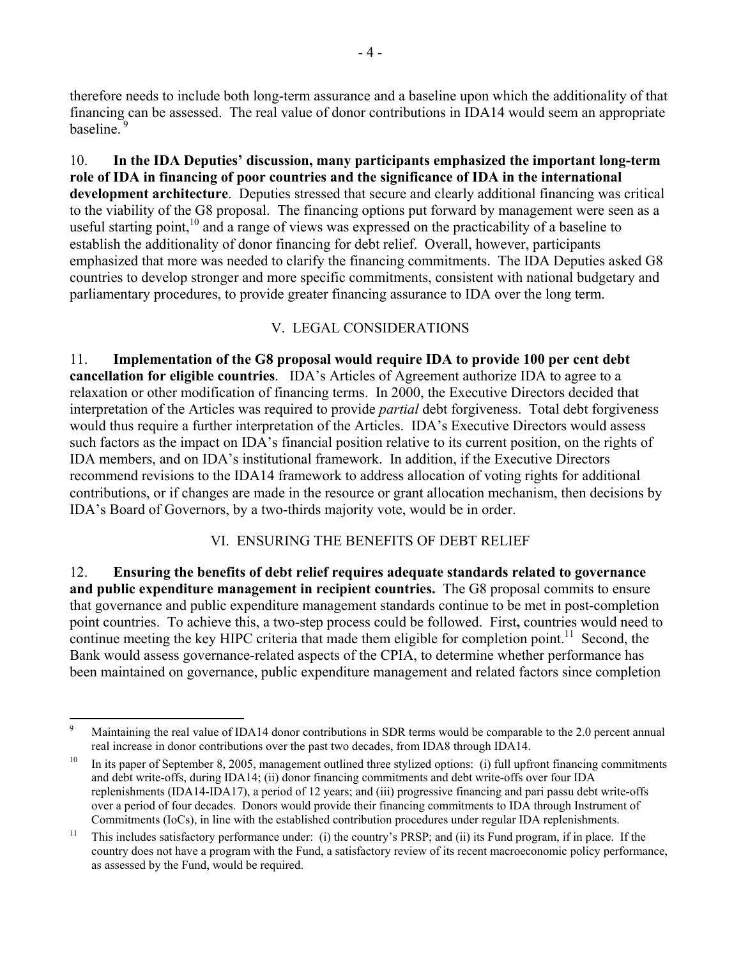therefore needs to include both long-term assurance and a baseline upon which the additionality of that financing can be assessed. The real value of donor contributions in IDA14 would seem an appropriate baseline.<sup>9</sup>

10. **In the IDA Deputies' discussion, many participants emphasized the important long-term role of IDA in financing of poor countries and the significance of IDA in the international development architecture**. Deputies stressed that secure and clearly additional financing was critical to the viability of the G8 proposal. The financing options put forward by management were seen as a useful starting point, $10$  and a range of views was expressed on the practicability of a baseline to establish the additionality of donor financing for debt relief. Overall, however, participants emphasized that more was needed to clarify the financing commitments. The IDA Deputies asked G8 countries to develop stronger and more specific commitments, consistent with national budgetary and parliamentary procedures, to provide greater financing assurance to IDA over the long term.

### V. LEGAL CONSIDERATIONS

11. **Implementation of the G8 proposal would require IDA to provide 100 per cent debt cancellation for eligible countries**. IDA's Articles of Agreement authorize IDA to agree to a relaxation or other modification of financing terms. In 2000, the Executive Directors decided that interpretation of the Articles was required to provide *partial* debt forgiveness. Total debt forgiveness would thus require a further interpretation of the Articles. IDA's Executive Directors would assess such factors as the impact on IDA's financial position relative to its current position, on the rights of IDA members, and on IDA's institutional framework. In addition, if the Executive Directors recommend revisions to the IDA14 framework to address allocation of voting rights for additional contributions, or if changes are made in the resource or grant allocation mechanism, then decisions by IDA's Board of Governors, by a two-thirds majority vote, would be in order.

### VI. ENSURING THE BENEFITS OF DEBT RELIEF

12. **Ensuring the benefits of debt relief requires adequate standards related to governance and public expenditure management in recipient countries.** The G8 proposal commits to ensure that governance and public expenditure management standards continue to be met in post-completion point countries. To achieve this, a two-step process could be followed. First**,** countries would need to continue meeting the key HIPC criteria that made them eligible for completion point.<sup>11</sup> Second, the Bank would assess governance-related aspects of the CPIA, to determine whether performance has been maintained on governance, public expenditure management and related factors since completion

<sup>-&</sup>lt;br>9 Maintaining the real value of IDA14 donor contributions in SDR terms would be comparable to the 2.0 percent annual real increase in donor contributions over the past two decades, from IDA8 through IDA14.

 $10$  In its paper of September 8, 2005, management outlined three stylized options: (i) full upfront financing commitments and debt write-offs, during IDA14; (ii) donor financing commitments and debt write-offs over four IDA replenishments (IDA14-IDA17), a period of 12 years; and (iii) progressive financing and pari passu debt write-offs over a period of four decades. Donors would provide their financing commitments to IDA through Instrument of Commitments (IoCs), in line with the established contribution procedures under regular IDA replenishments.

<sup>&</sup>lt;sup>11</sup> This includes satisfactory performance under: (i) the country's PRSP; and (ii) its Fund program, if in place. If the country does not have a program with the Fund, a satisfactory review of its recent macroeconomic policy performance, as assessed by the Fund, would be required.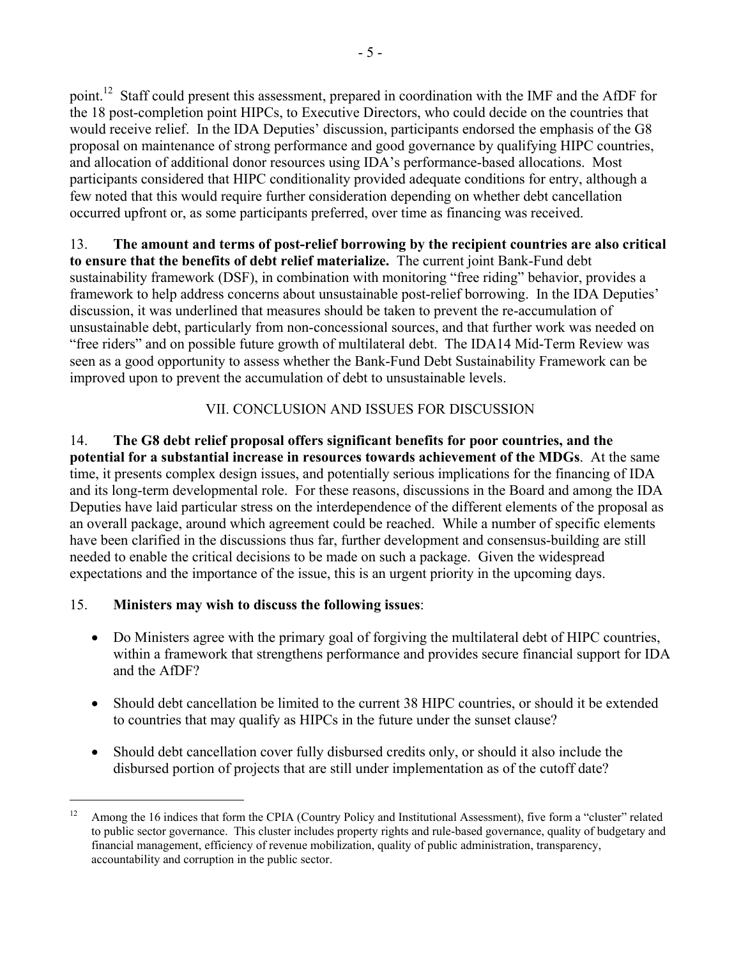point.<sup>12</sup> Staff could present this assessment, prepared in coordination with the IMF and the AfDF for the 18 post-completion point HIPCs, to Executive Directors, who could decide on the countries that would receive relief. In the IDA Deputies' discussion, participants endorsed the emphasis of the G8 proposal on maintenance of strong performance and good governance by qualifying HIPC countries, and allocation of additional donor resources using IDA's performance-based allocations. Most participants considered that HIPC conditionality provided adequate conditions for entry, although a few noted that this would require further consideration depending on whether debt cancellation occurred upfront or, as some participants preferred, over time as financing was received.

13. **The amount and terms of post-relief borrowing by the recipient countries are also critical to ensure that the benefits of debt relief materialize.** The current joint Bank-Fund debt sustainability framework (DSF), in combination with monitoring "free riding" behavior, provides a framework to help address concerns about unsustainable post-relief borrowing. In the IDA Deputies' discussion, it was underlined that measures should be taken to prevent the re-accumulation of unsustainable debt, particularly from non-concessional sources, and that further work was needed on "free riders" and on possible future growth of multilateral debt. The IDA14 Mid-Term Review was seen as a good opportunity to assess whether the Bank-Fund Debt Sustainability Framework can be improved upon to prevent the accumulation of debt to unsustainable levels.

# VII. CONCLUSION AND ISSUES FOR DISCUSSION

14. **The G8 debt relief proposal offers significant benefits for poor countries, and the potential for a substantial increase in resources towards achievement of the MDGs**. At the same time, it presents complex design issues, and potentially serious implications for the financing of IDA and its long-term developmental role. For these reasons, discussions in the Board and among the IDA Deputies have laid particular stress on the interdependence of the different elements of the proposal as an overall package, around which agreement could be reached. While a number of specific elements have been clarified in the discussions thus far, further development and consensus-building are still needed to enable the critical decisions to be made on such a package. Given the widespread expectations and the importance of the issue, this is an urgent priority in the upcoming days.

# 15. **Ministers may wish to discuss the following issues**:

 $\overline{a}$ 

- Do Ministers agree with the primary goal of forgiving the multilateral debt of HIPC countries, within a framework that strengthens performance and provides secure financial support for IDA and the AfDF?
- Should debt cancellation be limited to the current 38 HIPC countries, or should it be extended to countries that may qualify as HIPCs in the future under the sunset clause?
- Should debt cancellation cover fully disbursed credits only, or should it also include the disbursed portion of projects that are still under implementation as of the cutoff date?

<sup>&</sup>lt;sup>12</sup> Among the 16 indices that form the CPIA (Country Policy and Institutional Assessment), five form a "cluster" related to public sector governance. This cluster includes property rights and rule-based governance, quality of budgetary and financial management, efficiency of revenue mobilization, quality of public administration, transparency, accountability and corruption in the public sector.